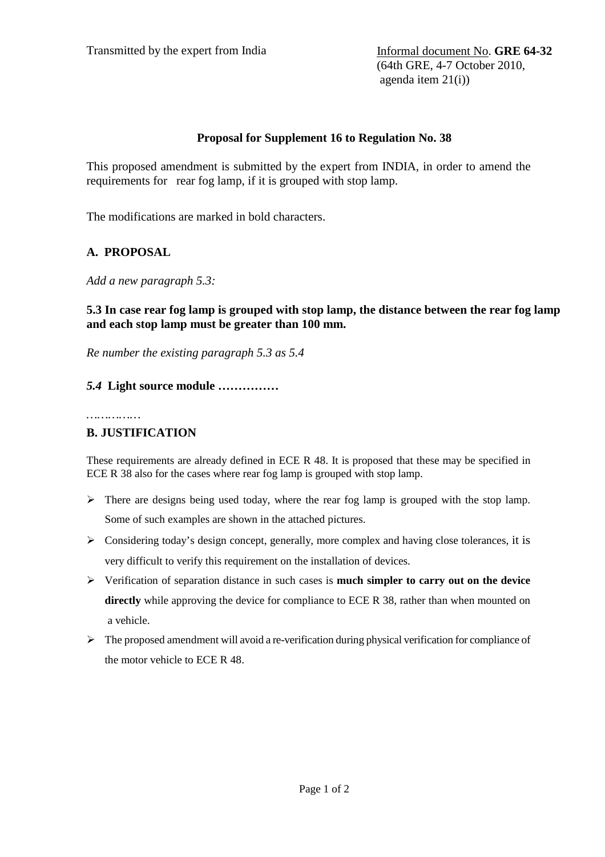(64th GRE, 4-7 October 2010, agenda item 21(i))

### **Proposal for Supplement 16 to Regulation No. 38**

This proposed amendment is submitted by the expert from INDIA, in order to amend the requirements for rear fog lamp, if it is grouped with stop lamp.

The modifications are marked in bold characters.

# **A. PROPOSAL**

*Add a new paragraph 5.3:* 

## **5.3 In case rear fog lamp is grouped with stop lamp, the distance between the rear fog lamp and each stop lamp must be greater than 100 mm.**

*Re number the existing paragraph 5.3 as 5.4* 

## *5.4* **Light source module ……………**

*……………* 

### **B. JUSTIFICATION**

These requirements are already defined in ECE R 48. It is proposed that these may be specified in ECE R 38 also for the cases where rear fog lamp is grouped with stop lamp.

- $\triangleright$  There are designs being used today, where the rear fog lamp is grouped with the stop lamp. Some of such examples are shown in the attached pictures.
- $\triangleright$  Considering today's design concept, generally, more complex and having close tolerances, it is very difficult to verify this requirement on the installation of devices.
- Verification of separation distance in such cases is **much simpler to carry out on the device**  directly while approving the device for compliance to ECE R 38, rather than when mounted on a vehicle.
- $\triangleright$  The proposed amendment will avoid a re-verification during physical verification for compliance of the motor vehicle to ECE R 48.